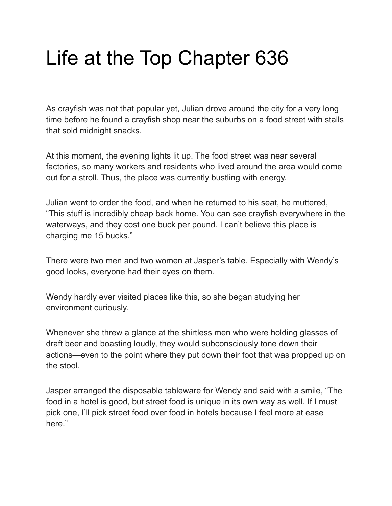## Life at the Top Chapter 636

As crayfish was not that popular yet, Julian drove around the city for a very long time before he found a crayfish shop near the suburbs on a food street with stalls that sold midnight snacks.

At this moment, the evening lights lit up. The food street was near several factories, so many workers and residents who lived around the area would come out for a stroll. Thus, the place was currently bustling with energy.

Julian went to order the food, and when he returned to his seat, he muttered, "This stuff is incredibly cheap back home. You can see crayfish everywhere in the waterways, and they cost one buck per pound. I can't believe this place is charging me 15 bucks."

There were two men and two women at Jasper's table. Especially with Wendy's good looks, everyone had their eyes on them.

Wendy hardly ever visited places like this, so she began studying her environment curiously.

Whenever she threw a glance at the shirtless men who were holding glasses of draft beer and boasting loudly, they would subconsciously tone down their actions—even to the point where they put down their foot that was propped up on the stool.

Jasper arranged the disposable tableware for Wendy and said with a smile, "The food in a hotel is good, but street food is unique in its own way as well. If I must pick one, I'll pick street food over food in hotels because I feel more at ease here."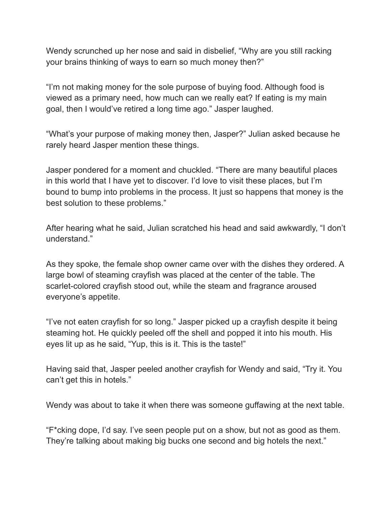Wendy scrunched up her nose and said in disbelief, "Why are you still racking your brains thinking of ways to earn so much money then?"

"I'm not making money for the sole purpose of buying food. Although food is viewed as a primary need, how much can we really eat? If eating is my main goal, then I would've retired a long time ago." Jasper laughed.

"What's your purpose of making money then, Jasper?" Julian asked because he rarely heard Jasper mention these things.

Jasper pondered for a moment and chuckled. "There are many beautiful places in this world that I have yet to discover. I'd love to visit these places, but I'm bound to bump into problems in the process. It just so happens that money is the best solution to these problems."

After hearing what he said, Julian scratched his head and said awkwardly, "I don't understand."

As they spoke, the female shop owner came over with the dishes they ordered. A large bowl of steaming crayfish was placed at the center of the table. The scarlet-colored crayfish stood out, while the steam and fragrance aroused everyone's appetite.

"I've not eaten crayfish for so long." Jasper picked up a crayfish despite it being steaming hot. He quickly peeled off the shell and popped it into his mouth. His eyes lit up as he said, "Yup, this is it. This is the taste!"

Having said that, Jasper peeled another crayfish for Wendy and said, "Try it. You can't get this in hotels."

Wendy was about to take it when there was someone guffawing at the next table.

"F\*cking dope, I'd say. I've seen people put on a show, but not as good as them. They're talking about making big bucks one second and big hotels the next."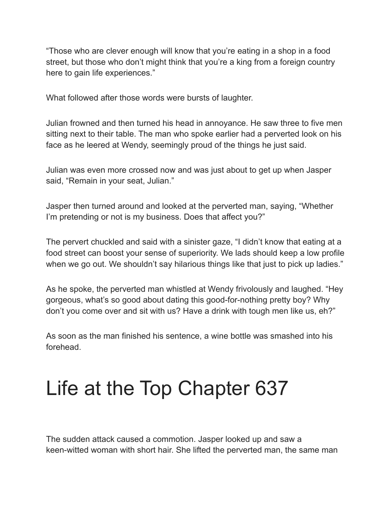"Those who are clever enough will know that you're eating in a shop in a food street, but those who don't might think that you're a king from a foreign country here to gain life experiences."

What followed after those words were bursts of laughter.

Julian frowned and then turned his head in annoyance. He saw three to five men sitting next to their table. The man who spoke earlier had a perverted look on his face as he leered at Wendy, seemingly proud of the things he just said.

Julian was even more crossed now and was just about to get up when Jasper said, "Remain in your seat, Julian."

Jasper then turned around and looked at the perverted man, saying, "Whether I'm pretending or not is my business. Does that affect you?"

The pervert chuckled and said with a sinister gaze, "I didn't know that eating at a food street can boost your sense of superiority. We lads should keep a low profile when we go out. We shouldn't say hilarious things like that just to pick up ladies."

As he spoke, the perverted man whistled at Wendy frivolously and laughed. "Hey gorgeous, what's so good about dating this good-for-nothing pretty boy? Why don't you come over and sit with us? Have a drink with tough men like us, eh?"

As soon as the man finished his sentence, a wine bottle was smashed into his forehead.

## Life at the Top Chapter 637

The sudden attack caused a commotion. Jasper looked up and saw a keen-witted woman with short hair. She lifted the perverted man, the same man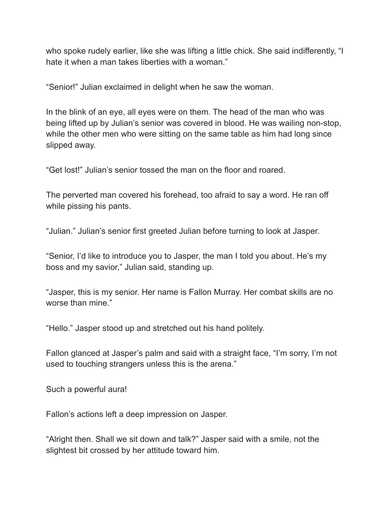who spoke rudely earlier, like she was lifting a little chick. She said indifferently, "I hate it when a man takes liberties with a woman."

"Senior!" Julian exclaimed in delight when he saw the woman.

In the blink of an eye, all eyes were on them. The head of the man who was being lifted up by Julian's senior was covered in blood. He was wailing non-stop, while the other men who were sitting on the same table as him had long since slipped away.

"Get lost!" Julian's senior tossed the man on the floor and roared.

The perverted man covered his forehead, too afraid to say a word. He ran off while pissing his pants.

"Julian." Julian's senior first greeted Julian before turning to look at Jasper.

"Senior, I'd like to introduce you to Jasper, the man I told you about. He's my boss and my savior," Julian said, standing up.

"Jasper, this is my senior. Her name is Fallon Murray. Her combat skills are no worse than mine."

"Hello." Jasper stood up and stretched out his hand politely.

Fallon glanced at Jasper's palm and said with a straight face, "I'm sorry, I'm not used to touching strangers unless this is the arena."

Such a powerful aura!

Fallon's actions left a deep impression on Jasper.

"Alright then. Shall we sit down and talk?" Jasper said with a smile, not the slightest bit crossed by her attitude toward him.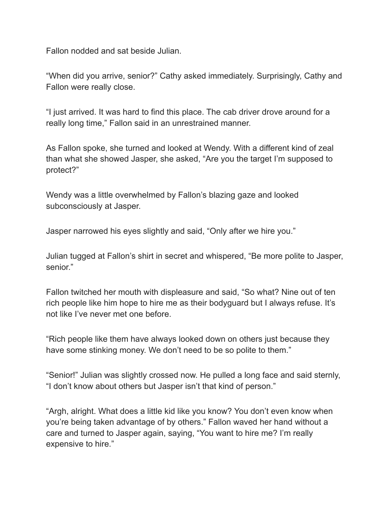Fallon nodded and sat beside Julian.

"When did you arrive, senior?" Cathy asked immediately. Surprisingly, Cathy and Fallon were really close.

"I just arrived. It was hard to find this place. The cab driver drove around for a really long time," Fallon said in an unrestrained manner.

As Fallon spoke, she turned and looked at Wendy. With a different kind of zeal than what she showed Jasper, she asked, "Are you the target I'm supposed to protect?"

Wendy was a little overwhelmed by Fallon's blazing gaze and looked subconsciously at Jasper.

Jasper narrowed his eyes slightly and said, "Only after we hire you."

Julian tugged at Fallon's shirt in secret and whispered, "Be more polite to Jasper, senior."

Fallon twitched her mouth with displeasure and said, "So what? Nine out of ten rich people like him hope to hire me as their bodyguard but I always refuse. It's not like I've never met one before.

"Rich people like them have always looked down on others just because they have some stinking money. We don't need to be so polite to them."

"Senior!" Julian was slightly crossed now. He pulled a long face and said sternly, "I don't know about others but Jasper isn't that kind of person."

"Argh, alright. What does a little kid like you know? You don't even know when you're being taken advantage of by others." Fallon waved her hand without a care and turned to Jasper again, saying, "You want to hire me? I'm really expensive to hire."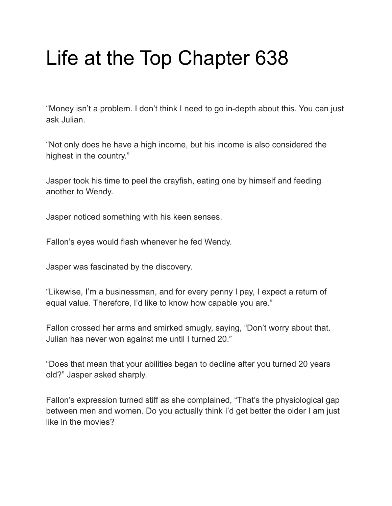# Life at the Top Chapter 638

"Money isn't a problem. I don't think I need to go in-depth about this. You can just ask Julian.

"Not only does he have a high income, but his income is also considered the highest in the country."

Jasper took his time to peel the crayfish, eating one by himself and feeding another to Wendy.

Jasper noticed something with his keen senses.

Fallon's eyes would flash whenever he fed Wendy.

Jasper was fascinated by the discovery.

"Likewise, I'm a businessman, and for every penny I pay, I expect a return of equal value. Therefore, I'd like to know how capable you are."

Fallon crossed her arms and smirked smugly, saying, "Don't worry about that. Julian has never won against me until I turned 20."

"Does that mean that your abilities began to decline after you turned 20 years old?" Jasper asked sharply.

Fallon's expression turned stiff as she complained, "That's the physiological gap between men and women. Do you actually think I'd get better the older I am just like in the movies?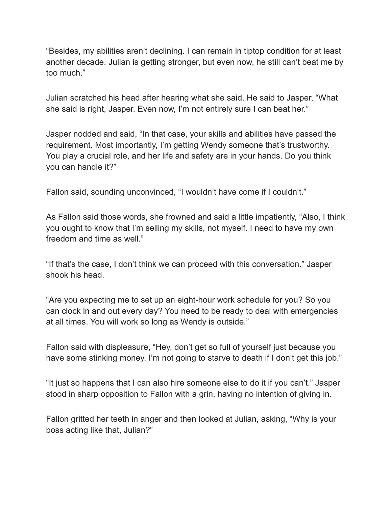"Besides, my abilities aren't declining. I can remain in tiptop condition for at least another decade. Julian is getting stronger, but even now, he still can't beat me by too much."

Julian scratched his head after hearing what she said. He said to Jasper, "What she said is right, Jasper. Even now, I'm not entirely sure I can beat her."

Jasper nodded and said, "In that case, your skills and abilities have passed the requirement. Most importantly, I'm getting Wendy someone that's trustworthy. You play a crucial role, and her life and safety are in your hands. Do you think you can handle it?"

Fallon said, sounding unconvinced, "I wouldn't have come if I couldn't."

As Fallon said those words, she frowned and said a little impatiently, "Also, I think you ought to know that I'm selling my skills, not myself. I need to have my own freedom and time as well."

"If that's the case, I don't think we can proceed with this conversation." Jasper shook his head.

"Are you expecting me to set up an eight-hour work schedule for you? So you can clock in and out every day? You need to be ready to deal with emergencies at all times. You will work so long as Wendy is outside."

Fallon said with displeasure, "Hey, don't get so full of yourself just because you have some stinking money. I'm not going to starve to death if I don't get this job."

"It just so happens that I can also hire someone else to do it if you can't." Jasper stood in sharp opposition to Fallon with a grin, having no intention of giving in.

Fallon gritted her teeth in anger and then looked at Julian, asking, "Why is your boss acting like that, Julian?"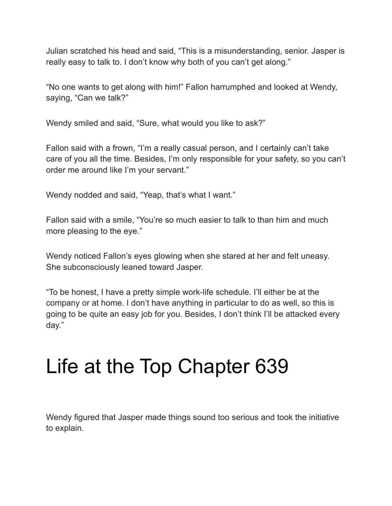Julian scratched his head and said, "This is a misunderstanding, senior. Jasper is really easy to talk to. I don't know why both of you can't get along."

"No one wants to get along with him!" Fallon harrumphed and looked at Wendy, saying, "Can we talk?"

Wendy smiled and said, "Sure, what would you like to ask?"

Fallon said with a frown, "I'm a really casual person, and I certainly can't take care of you all the time. Besides, I'm only responsible for your safety, so you can't order me around like I'm your servant."

Wendy nodded and said, "Yeap, that's what I want."

Fallon said with a smile, "You're so much easier to talk to than him and much more pleasing to the eye."

Wendy noticed Fallon's eyes glowing when she stared at her and felt uneasy. She subconsciously leaned toward Jasper.

"To be honest, I have a pretty simple work-life schedule. I'll either be at the company or at home. I don't have anything in particular to do as well, so this is going to be quite an easy job for you. Besides, I don't think I'll be attacked every day."

## Life at the Top Chapter 639

Wendy figured that Jasper made things sound too serious and took the initiative to explain.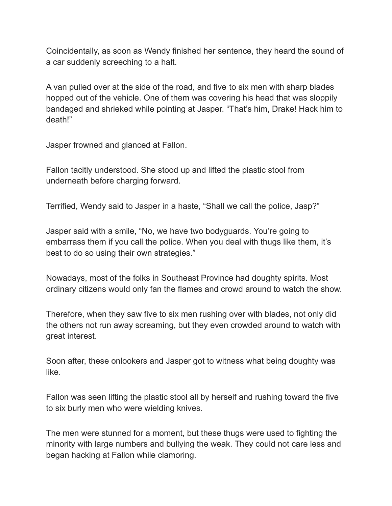Coincidentally, as soon as Wendy finished her sentence, they heard the sound of a car suddenly screeching to a halt.

A van pulled over at the side of the road, and five to six men with sharp blades hopped out of the vehicle. One of them was covering his head that was sloppily bandaged and shrieked while pointing at Jasper. "That's him, Drake! Hack him to death!"

Jasper frowned and glanced at Fallon.

Fallon tacitly understood. She stood up and lifted the plastic stool from underneath before charging forward.

Terrified, Wendy said to Jasper in a haste, "Shall we call the police, Jasp?"

Jasper said with a smile, "No, we have two bodyguards. You're going to embarrass them if you call the police. When you deal with thugs like them, it's best to do so using their own strategies."

Nowadays, most of the folks in Southeast Province had doughty spirits. Most ordinary citizens would only fan the flames and crowd around to watch the show.

Therefore, when they saw five to six men rushing over with blades, not only did the others not run away screaming, but they even crowded around to watch with great interest.

Soon after, these onlookers and Jasper got to witness what being doughty was like.

Fallon was seen lifting the plastic stool all by herself and rushing toward the five to six burly men who were wielding knives.

The men were stunned for a moment, but these thugs were used to fighting the minority with large numbers and bullying the weak. They could not care less and began hacking at Fallon while clamoring.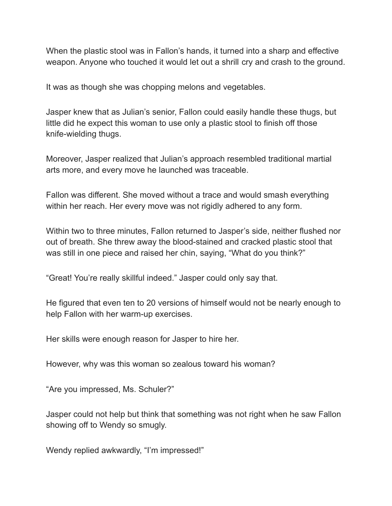When the plastic stool was in Fallon's hands, it turned into a sharp and effective weapon. Anyone who touched it would let out a shrill cry and crash to the ground.

It was as though she was chopping melons and vegetables.

Jasper knew that as Julian's senior, Fallon could easily handle these thugs, but little did he expect this woman to use only a plastic stool to finish off those knife-wielding thugs.

Moreover, Jasper realized that Julian's approach resembled traditional martial arts more, and every move he launched was traceable.

Fallon was different. She moved without a trace and would smash everything within her reach. Her every move was not rigidly adhered to any form.

Within two to three minutes, Fallon returned to Jasper's side, neither flushed nor out of breath. She threw away the blood-stained and cracked plastic stool that was still in one piece and raised her chin, saying, "What do you think?"

"Great! You're really skillful indeed." Jasper could only say that.

He figured that even ten to 20 versions of himself would not be nearly enough to help Fallon with her warm-up exercises.

Her skills were enough reason for Jasper to hire her.

However, why was this woman so zealous toward his woman?

"Are you impressed, Ms. Schuler?"

Jasper could not help but think that something was not right when he saw Fallon showing off to Wendy so smugly.

Wendy replied awkwardly, "I'm impressed!"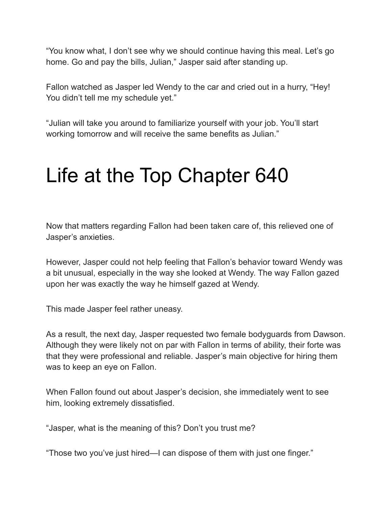"You know what, I don't see why we should continue having this meal. Let's go home. Go and pay the bills, Julian," Jasper said after standing up.

Fallon watched as Jasper led Wendy to the car and cried out in a hurry, "Hey! You didn't tell me my schedule yet."

"Julian will take you around to familiarize yourself with your job. You'll start working tomorrow and will receive the same benefits as Julian."

#### Life at the Top Chapter 640

Now that matters regarding Fallon had been taken care of, this relieved one of Jasper's anxieties.

However, Jasper could not help feeling that Fallon's behavior toward Wendy was a bit unusual, especially in the way she looked at Wendy. The way Fallon gazed upon her was exactly the way he himself gazed at Wendy.

This made Jasper feel rather uneasy.

As a result, the next day, Jasper requested two female bodyguards from Dawson. Although they were likely not on par with Fallon in terms of ability, their forte was that they were professional and reliable. Jasper's main objective for hiring them was to keep an eye on Fallon.

When Fallon found out about Jasper's decision, she immediately went to see him, looking extremely dissatisfied.

"Jasper, what is the meaning of this? Don't you trust me?

"Those two you've just hired—I can dispose of them with just one finger."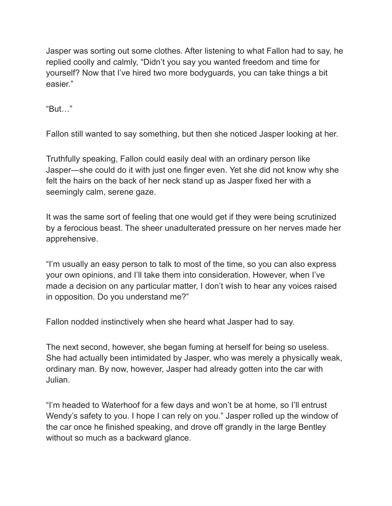Jasper was sorting out some clothes. After listening to what Fallon had to say, he replied coolly and calmly, "Didn't you say you wanted freedom and time for yourself? Now that I've hired two more bodyguards, you can take things a bit easier."

"But…"

Fallon still wanted to say something, but then she noticed Jasper looking at her.

Truthfully speaking, Fallon could easily deal with an ordinary person like Jasper—she could do it with just one finger even. Yet she did not know why she felt the hairs on the back of her neck stand up as Jasper fixed her with a seemingly calm, serene gaze.

It was the same sort of feeling that one would get if they were being scrutinized by a ferocious beast. The sheer unadulterated pressure on her nerves made her apprehensive.

"I'm usually an easy person to talk to most of the time, so you can also express your own opinions, and I'll take them into consideration. However, when I've made a decision on any particular matter, I don't wish to hear any voices raised in opposition. Do you understand me?"

Fallon nodded instinctively when she heard what Jasper had to say.

The next second, however, she began fuming at herself for being so useless. She had actually been intimidated by Jasper, who was merely a physically weak, ordinary man. By now, however, Jasper had already gotten into the car with Julian.

"I'm headed to Waterhoof for a few days and won't be at home, so I'll entrust Wendy's safety to you. I hope I can rely on you." Jasper rolled up the window of the car once he finished speaking, and drove off grandly in the large Bentley without so much as a backward glance.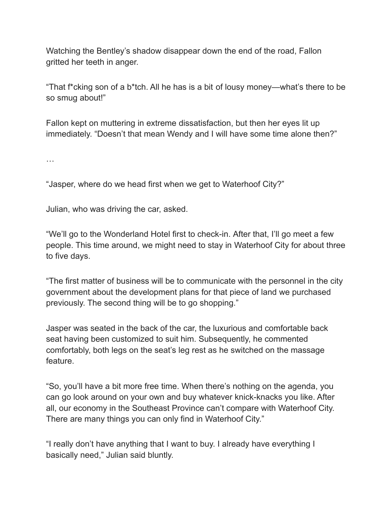Watching the Bentley's shadow disappear down the end of the road, Fallon gritted her teeth in anger.

"That f\*cking son of a b\*tch. All he has is a bit of lousy money—what's there to be so smug about!"

Fallon kept on muttering in extreme dissatisfaction, but then her eyes lit up immediately. "Doesn't that mean Wendy and I will have some time alone then?"

…

"Jasper, where do we head first when we get to Waterhoof City?"

Julian, who was driving the car, asked.

"We'll go to the Wonderland Hotel first to check-in. After that, I'll go meet a few people. This time around, we might need to stay in Waterhoof City for about three to five days.

"The first matter of business will be to communicate with the personnel in the city government about the development plans for that piece of land we purchased previously. The second thing will be to go shopping."

Jasper was seated in the back of the car, the luxurious and comfortable back seat having been customized to suit him. Subsequently, he commented comfortably, both legs on the seat's leg rest as he switched on the massage feature.

"So, you'll have a bit more free time. When there's nothing on the agenda, you can go look around on your own and buy whatever knick-knacks you like. After all, our economy in the Southeast Province can't compare with Waterhoof City. There are many things you can only find in Waterhoof City."

"I really don't have anything that I want to buy. I already have everything I basically need," Julian said bluntly.